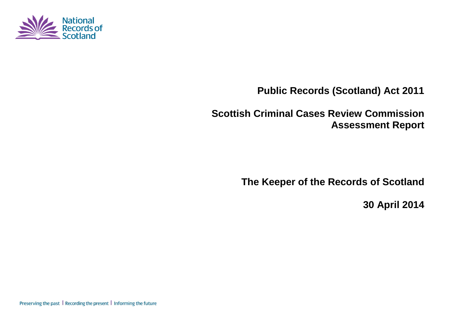

**Public Records (Scotland) Act 2011**

**Scottish Criminal Cases Review Commission Assessment Report**

**The Keeper of the Records of Scotland**

**30 April 2014**

Preserving the past | Recording the present | Informing the future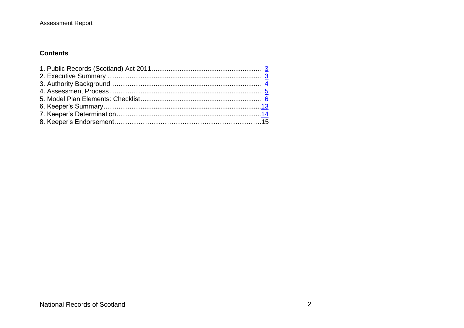### **Contents**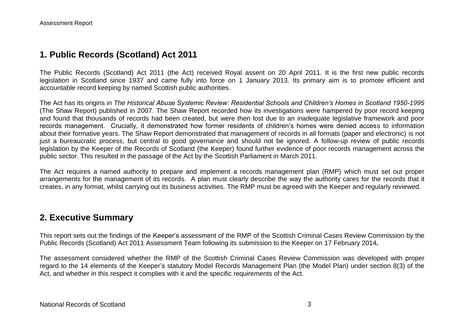## **1. Public Records (Scotland) Act 2011**

The Public Records (Scotland) Act 2011 (the Act) received Royal assent on 20 April 2011. It is the first new public records legislation in Scotland since 1937 and came fully into force on 1 January 2013. Its primary aim is to promote efficient and accountable record keeping by named Scottish public authorities.

The Act has its origins in *The Historical Abuse Systemic Review: Residential Schools and Children's Homes in Scotland 1950-1995* (The Shaw Report) published in 2007. The Shaw Report recorded how its investigations were hampered by poor record keeping and found that thousands of records had been created, but were then lost due to an inadequate legislative framework and poor records management. Crucially, it demonstrated how former residents of children's homes were denied access to information about their formative years. The Shaw Report demonstrated that management of records in all formats (paper and electronic) is not just a bureaucratic process, but central to good governance and should not be ignored. A follow-up review of public records legislation by the Keeper of the Records of Scotland (the Keeper) found further evidence of poor records management across the public sector. This resulted in the passage of the Act by the Scottish Parliament in March 2011.

The Act requires a named authority to prepare and implement a records management plan (RMP) which must set out proper arrangements for the management of its records. A plan must clearly describe the way the authority cares for the records that it creates, in any format, whilst carrying out its business activities. The RMP must be agreed with the Keeper and regularly reviewed.

## **2. Executive Summary**

This report sets out the findings of the Keeper's assessment of the RMP of the Scottish Criminal Cases Review Commission by the Public Records (Scotland) Act 2011 Assessment Team following its submission to the Keeper on 17 February 2014*.*

The assessment considered whether the RMP of the Scottish Criminal Cases Review Commission was developed with proper regard to the 14 elements of the Keeper's statutory Model Records Management Plan (the Model Plan) under section 8(3) of the Act, and whether in this respect it complies with it and the specific requirements of the Act.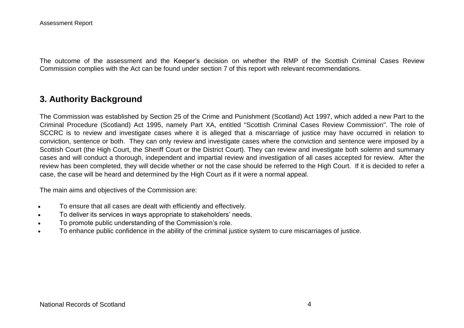The outcome of the assessment and the Keeper's decision on whether the RMP of the Scottish Criminal Cases Review Commission complies with the Act can be found under section 7 of this report with relevant recommendations.

## **3. Authority Background**

The Commission was established by Section 25 of the Crime and Punishment (Scotland) Act 1997, which added a new Part to the Criminal Procedure (Scotland) Act 1995, namely Part XA, entitled "Scottish Criminal Cases Review Commission". The role of SCCRC is to review and investigate cases where it is alleged that a miscarriage of justice may have occurred in relation to conviction, sentence or both. They can only review and investigate cases where the conviction and sentence were imposed by a Scottish Court (the High Court, the Sheriff Court or the District Court). They can review and investigate both solemn and summary cases and will conduct a thorough, independent and impartial review and investigation of all cases accepted for review. After the review has been completed, they will decide whether or not the case should be referred to the High Court. If it is decided to refer a case, the case will be heard and determined by the High Court as if it were a normal appeal.

The main aims and objectives of the Commission are:

- To ensure that all cases are dealt with efficiently and effectively.
- To deliver its services in ways appropriate to stakeholders' needs.
- To promote public understanding of the Commission's role.
- To enhance public confidence in the ability of the criminal justice system to cure miscarriages of justice.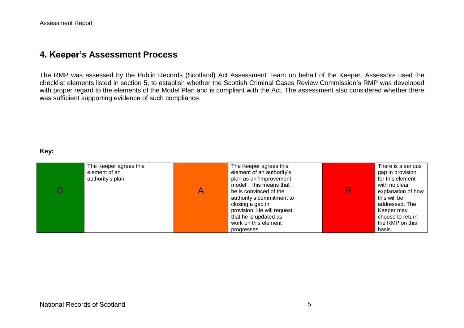## **4. Keeper's Assessment Process**

The RMP was assessed by the Public Records (Scotland) Act Assessment Team on behalf of the Keeper. Assessors used the checklist elements listed in section 5, to establish whether the Scottish Criminal Cases Review Commission's RMP was developed with proper regard to the elements of the Model Plan and is compliant with the Act. The assessment also considered whether there was sufficient supporting evidence of such compliance.

#### **Key:**

| The Keeper agrees this | The Keeper agrees this     |  | There is a serious |
|------------------------|----------------------------|--|--------------------|
| element of an          | element of an authority's  |  | gap in provision   |
| authority's plan.      | plan as an 'improvement    |  | for this element   |
|                        | model'. This means that    |  | with no clear      |
|                        | he is convinced of the     |  | explanation of how |
|                        | authority's commitment to  |  | this will be       |
|                        | closing a gap in           |  | addressed. The     |
|                        | provision. He will request |  | Keeper may         |
|                        | that he is updated as      |  | choose to return   |
|                        | work on this element       |  | the RMP on this    |
|                        | progresses.                |  | basis.             |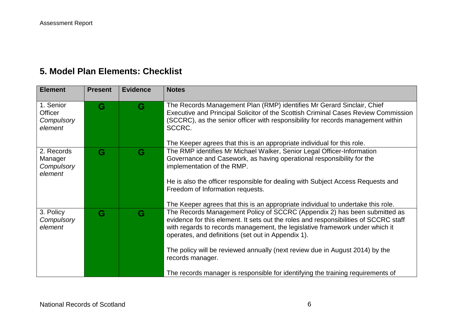# **5. Model Plan Elements: Checklist**

| <b>Element</b>                                 | <b>Present</b> | <b>Evidence</b> | <b>Notes</b>                                                                                                                                                                                                                                                                                                                                                                                                                                                                                   |
|------------------------------------------------|----------------|-----------------|------------------------------------------------------------------------------------------------------------------------------------------------------------------------------------------------------------------------------------------------------------------------------------------------------------------------------------------------------------------------------------------------------------------------------------------------------------------------------------------------|
| 1. Senior<br>Officer<br>Compulsory<br>element  | G              | G               | The Records Management Plan (RMP) identifies Mr Gerard Sinclair, Chief<br>Executive and Principal Solicitor of the Scottish Criminal Cases Review Commission<br>(SCCRC), as the senior officer with responsibility for records management within<br>SCCRC.<br>The Keeper agrees that this is an appropriate individual for this role.                                                                                                                                                          |
| 2. Records<br>Manager<br>Compulsory<br>element | G              | G               | The RMP identifies Mr Michael Walker, Senior Legal Officer-Information<br>Governance and Casework, as having operational responsibility for the<br>implementation of the RMP.<br>He is also the officer responsible for dealing with Subject Access Requests and<br>Freedom of Information requests.<br>The Keeper agrees that this is an appropriate individual to undertake this role.                                                                                                       |
| 3. Policy<br>Compulsory<br>element             | G              | G               | The Records Management Policy of SCCRC (Appendix 2) has been submitted as<br>evidence for this element. It sets out the roles and responsibilities of SCCRC staff<br>with regards to records management, the legislative framework under which it<br>operates, and definitions (set out in Appendix 1).<br>The policy will be reviewed annually (next review due in August 2014) by the<br>records manager.<br>The records manager is responsible for identifying the training requirements of |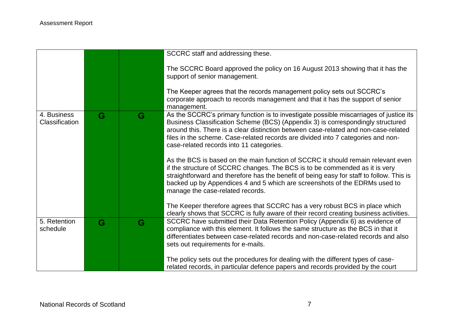|                                      |   |   | SCCRC staff and addressing these.                                                                                                                                                                                                                                                                                                                                                                |
|--------------------------------------|---|---|--------------------------------------------------------------------------------------------------------------------------------------------------------------------------------------------------------------------------------------------------------------------------------------------------------------------------------------------------------------------------------------------------|
|                                      |   |   | The SCCRC Board approved the policy on 16 August 2013 showing that it has the<br>support of senior management.                                                                                                                                                                                                                                                                                   |
|                                      |   |   | The Keeper agrees that the records management policy sets out SCCRC's<br>corporate approach to records management and that it has the support of senior<br>management.                                                                                                                                                                                                                           |
| 4. Business<br><b>Classification</b> | G | G | As the SCCRC's primary function is to investigate possible miscarriages of justice its<br>Business Classification Scheme (BCS) (Appendix 3) is correspondingly structured<br>around this. There is a clear distinction between case-related and non-case-related<br>files in the scheme. Case-related records are divided into 7 categories and non-<br>case-related records into 11 categories. |
|                                      |   |   | As the BCS is based on the main function of SCCRC it should remain relevant even<br>if the structure of SCCRC changes. The BCS is to be commended as it is very<br>straightforward and therefore has the benefit of being easy for staff to follow. This is<br>backed up by Appendices 4 and 5 which are screenshots of the EDRMs used to<br>manage the case-related records.                    |
|                                      |   |   | The Keeper therefore agrees that SCCRC has a very robust BCS in place which<br>clearly shows that SCCRC is fully aware of their record creating business activities.                                                                                                                                                                                                                             |
| 5. Retention<br>schedule             | G | G | SCCRC have submitted their Data Retention Policy (Appendix 6) as evidence of<br>compliance with this element. It follows the same structure as the BCS in that it<br>differentiates between case-related records and non-case-related records and also<br>sets out requirements for e-mails.                                                                                                     |
|                                      |   |   | The policy sets out the procedures for dealing with the different types of case-<br>related records, in particular defence papers and records provided by the court                                                                                                                                                                                                                              |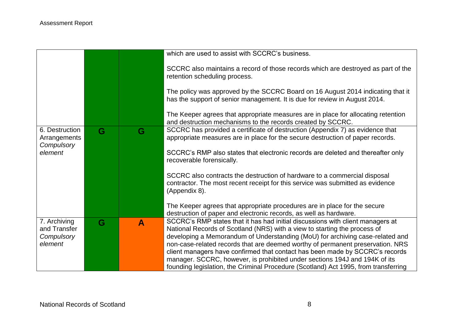|                                              |   |   | which are used to assist with SCCRC's business.                                                                                                                                                                                                   |
|----------------------------------------------|---|---|---------------------------------------------------------------------------------------------------------------------------------------------------------------------------------------------------------------------------------------------------|
|                                              |   |   | SCCRC also maintains a record of those records which are destroyed as part of the<br>retention scheduling process.                                                                                                                                |
|                                              |   |   | The policy was approved by the SCCRC Board on 16 August 2014 indicating that it<br>has the support of senior management. It is due for review in August 2014.                                                                                     |
|                                              |   |   | The Keeper agrees that appropriate measures are in place for allocating retention<br>and destruction mechanisms to the records created by SCCRC.                                                                                                  |
| 6. Destruction<br>Arrangements<br>Compulsory | G | G | SCCRC has provided a certificate of destruction (Appendix 7) as evidence that<br>appropriate measures are in place for the secure destruction of paper records.                                                                                   |
| element                                      |   |   | SCCRC's RMP also states that electronic records are deleted and thereafter only<br>recoverable forensically.                                                                                                                                      |
|                                              |   |   | SCCRC also contracts the destruction of hardware to a commercial disposal<br>contractor. The most recent receipt for this service was submitted as evidence<br>(Appendix 8).                                                                      |
|                                              |   |   | The Keeper agrees that appropriate procedures are in place for the secure<br>destruction of paper and electronic records, as well as hardware.                                                                                                    |
| 7. Archiving<br>and Transfer                 | G | A | SCCRC's RMP states that it has had initial discussions with client managers at<br>National Records of Scotland (NRS) with a view to starting the process of                                                                                       |
| Compulsory<br>element                        |   |   | developing a Memorandum of Understanding (MoU) for archiving case-related and<br>non-case-related records that are deemed worthy of permanent preservation. NRS                                                                                   |
|                                              |   |   | client managers have confirmed that contact has been made by SCCRC's records<br>manager. SCCRC, however, is prohibited under sections 194J and 194K of its<br>founding legislation, the Criminal Procedure (Scotland) Act 1995, from transferring |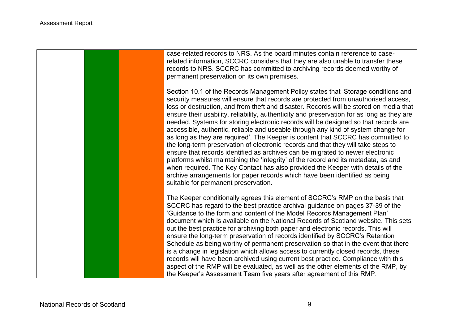

case-related records to NRS. As the board minutes contain reference to caserelated information, SCCRC considers that they are also unable to transfer these records to NRS. SCCRC has committed to archiving records deemed worthy of permanent preservation on its own premises.

Section 10.1 of the Records Management Policy states that 'Storage conditions and security measures will ensure that records are protected from unauthorised access, loss or destruction, and from theft and disaster. Records will be stored on media that ensure their usability, reliability, authenticity and preservation for as long as they are needed. Systems for storing electronic records will be designed so that records are accessible, authentic, reliable and useable through any kind of system change for as long as they are required'. The Keeper is content that SCCRC has committed to the long-term preservation of electronic records and that they will take steps to ensure that records identified as archives can be migrated to newer electronic platforms whilst maintaining the 'integrity' of the record and its metadata, as and when required. The Key Contact has also provided the Keeper with details of the archive arrangements for paper records which have been identified as being suitable for permanent preservation.

The Keeper conditionally agrees this element of SCCRC's RMP on the basis that SCCRC has regard to the best practice archival guidance on pages 37-39 of the 'Guidance to the form and content of the Model Records Management Plan' document which is available on the National Records of Scotland website. This sets out the best practice for archiving both paper and electronic records. This will ensure the long-term preservation of records identified by SCCRC's Retention Schedule as being worthy of permanent preservation so that in the event that there is a change in legislation which allows access to currently closed records, these records will have been archived using current best practice. Compliance with this aspect of the RMP will be evaluated, as well as the other elements of the RMP, by the Keeper's Assessment Team five years after agreement of this RMP.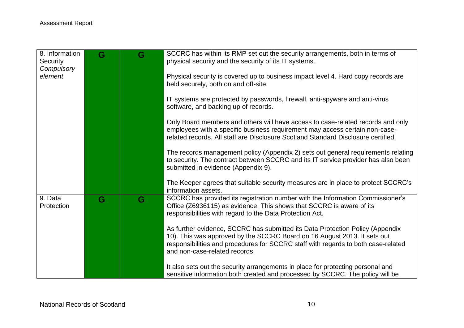| G | G | SCCRC has within its RMP set out the security arrangements, both in terms of<br>physical security and the security of its IT systems.                                                                                                               |
|---|---|-----------------------------------------------------------------------------------------------------------------------------------------------------------------------------------------------------------------------------------------------------|
|   |   | Physical security is covered up to business impact level 4. Hard copy records are                                                                                                                                                                   |
|   |   | held securely, both on and off-site.                                                                                                                                                                                                                |
|   |   | IT systems are protected by passwords, firewall, anti-spyware and anti-virus<br>software, and backing up of records.                                                                                                                                |
|   |   | Only Board members and others will have access to case-related records and only<br>employees with a specific business requirement may access certain non-case-<br>related records. All staff are Disclosure Scotland Standard Disclosure certified. |
|   |   | The records management policy (Appendix 2) sets out general requirements relating                                                                                                                                                                   |
|   |   | to security. The contract between SCCRC and its IT service provider has also been<br>submitted in evidence (Appendix 9).                                                                                                                            |
|   |   | The Keeper agrees that suitable security measures are in place to protect SCCRC's<br>information assets.                                                                                                                                            |
| G | G | SCCRC has provided its registration number with the Information Commissioner's<br>Office (Z6936115) as evidence. This shows that SCCRC is aware of its                                                                                              |
|   |   | responsibilities with regard to the Data Protection Act.                                                                                                                                                                                            |
|   |   | As further evidence, SCCRC has submitted its Data Protection Policy (Appendix                                                                                                                                                                       |
|   |   | 10). This was approved by the SCCRC Board on 16 August 2013. It sets out<br>responsibilities and procedures for SCCRC staff with regards to both case-related                                                                                       |
|   |   | and non-case-related records.                                                                                                                                                                                                                       |
|   |   | It also sets out the security arrangements in place for protecting personal and<br>sensitive information both created and processed by SCCRC. The policy will be                                                                                    |
|   |   |                                                                                                                                                                                                                                                     |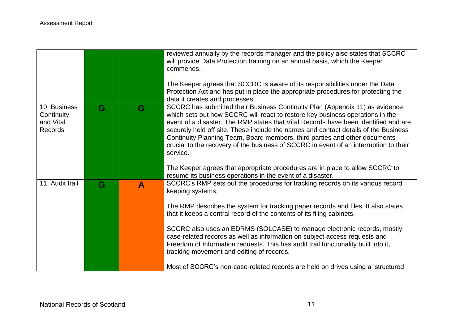|                                                           |   |                  | reviewed annually by the records manager and the policy also states that SCCRC<br>will provide Data Protection training on an annual basis, which the Keeper<br>commends.                                                                                                                                                                                                                                                                                                                                                      |
|-----------------------------------------------------------|---|------------------|--------------------------------------------------------------------------------------------------------------------------------------------------------------------------------------------------------------------------------------------------------------------------------------------------------------------------------------------------------------------------------------------------------------------------------------------------------------------------------------------------------------------------------|
|                                                           |   |                  | The Keeper agrees that SCCRC is aware of its responsibilities under the Data<br>Protection Act and has put in place the appropriate procedures for protecting the<br>data it creates and processes.                                                                                                                                                                                                                                                                                                                            |
| 10. Business<br>Continuity<br>and Vital<br><b>Records</b> | G | G                | SCCRC has submitted their Business Continuity Plan (Appendix 11) as evidence<br>which sets out how SCCRC will react to restore key business operations in the<br>event of a disaster. The RMP states that Vital Records have been identified and are<br>securely held off site. These include the names and contact details of the Business<br>Continuity Planning Team, Board members, third parties and other documents<br>crucial to the recovery of the business of SCCRC in event of an interruption to their<br>service. |
|                                                           |   |                  | The Keeper agrees that appropriate procedures are in place to allow SCCRC to<br>resume its business operations in the event of a disaster.                                                                                                                                                                                                                                                                                                                                                                                     |
| 11. Audit trail                                           | G | $\blacktriangle$ | SCCRC's RMP sets out the procedures for tracking records on its various record<br>keeping systems.                                                                                                                                                                                                                                                                                                                                                                                                                             |
|                                                           |   |                  | The RMP describes the system for tracking paper records and files. It also states<br>that it keeps a central record of the contents of its filing cabinets.                                                                                                                                                                                                                                                                                                                                                                    |
|                                                           |   |                  | SCCRC also uses an EDRMS (SOLCASE) to manage electronic records, mostly<br>case-related records as well as information on subject access requests and<br>Freedom of Information requests. This has audit trail functionality built into it,<br>tracking movement and editing of records.                                                                                                                                                                                                                                       |
|                                                           |   |                  | Most of SCCRC's non-case-related records are held on drives using a 'structured                                                                                                                                                                                                                                                                                                                                                                                                                                                |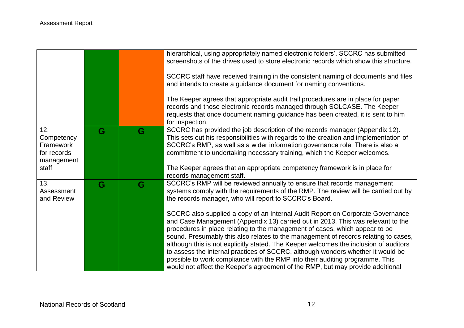|                                                                      |   |   | hierarchical, using appropriately named electronic folders'. SCCRC has submitted<br>screenshots of the drives used to store electronic records which show this structure.<br>SCCRC staff have received training in the consistent naming of documents and files<br>and intends to create a guidance document for naming conventions.<br>The Keeper agrees that appropriate audit trail procedures are in place for paper<br>records and those electronic records managed through SOLCASE. The Keeper<br>requests that once document naming guidance has been created, it is sent to him<br>for inspection.                                                                                                                                                                                                                                                                                                       |
|----------------------------------------------------------------------|---|---|------------------------------------------------------------------------------------------------------------------------------------------------------------------------------------------------------------------------------------------------------------------------------------------------------------------------------------------------------------------------------------------------------------------------------------------------------------------------------------------------------------------------------------------------------------------------------------------------------------------------------------------------------------------------------------------------------------------------------------------------------------------------------------------------------------------------------------------------------------------------------------------------------------------|
| 12.<br>Competency<br>Framework<br>for records<br>management<br>staff | G | G | SCCRC has provided the job description of the records manager (Appendix 12).<br>This sets out his responsibilities with regards to the creation and implementation of<br>SCCRC's RMP, as well as a wider information governance role. There is also a<br>commitment to undertaking necessary training, which the Keeper welcomes.<br>The Keeper agrees that an appropriate competency framework is in place for<br>records management staff.                                                                                                                                                                                                                                                                                                                                                                                                                                                                     |
| 13.<br>Assessment<br>and Review                                      | G | G | SCCRC's RMP will be reviewed annually to ensure that records management<br>systems comply with the requirements of the RMP. The review will be carried out by<br>the records manager, who will report to SCCRC's Board.<br>SCCRC also supplied a copy of an Internal Audit Report on Corporate Governance<br>and Case Management (Appendix 13) carried out in 2013. This was relevant to the<br>procedures in place relating to the management of cases, which appear to be<br>sound. Presumably this also relates to the management of records relating to cases,<br>although this is not explicitly stated. The Keeper welcomes the inclusion of auditors<br>to assess the internal practices of SCCRC, although wonders whether it would be<br>possible to work compliance with the RMP into their auditing programme. This<br>would not affect the Keeper's agreement of the RMP, but may provide additional |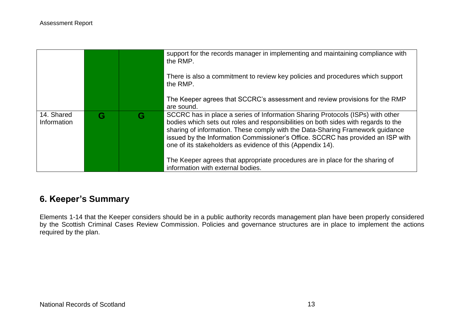|                           |   |   | support for the records manager in implementing and maintaining compliance with<br>the RMP.                                                                                                                                                                                                                                                                                                            |
|---------------------------|---|---|--------------------------------------------------------------------------------------------------------------------------------------------------------------------------------------------------------------------------------------------------------------------------------------------------------------------------------------------------------------------------------------------------------|
|                           |   |   | There is also a commitment to review key policies and procedures which support<br>the RMP.                                                                                                                                                                                                                                                                                                             |
|                           |   |   | The Keeper agrees that SCCRC's assessment and review provisions for the RMP<br>are sound.                                                                                                                                                                                                                                                                                                              |
| 14. Shared<br>Information | G | G | SCCRC has in place a series of Information Sharing Protocols (ISPs) with other<br>bodies which sets out roles and responsibilities on both sides with regards to the<br>sharing of information. These comply with the Data-Sharing Framework guidance<br>issued by the Information Commissioner's Office. SCCRC has provided an ISP with<br>one of its stakeholders as evidence of this (Appendix 14). |
|                           |   |   | The Keeper agrees that appropriate procedures are in place for the sharing of<br>information with external bodies.                                                                                                                                                                                                                                                                                     |

## **6. Keeper's Summary**

Elements 1-14 that the Keeper considers should be in a public authority records management plan have been properly considered by the Scottish Criminal Cases Review Commission. Policies and governance structures are in place to implement the actions required by the plan.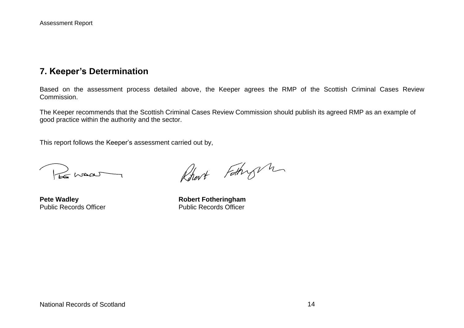## **7. Keeper's Determination**

Based on the assessment process detailed above, the Keeper agrees the RMP of the Scottish Criminal Cases Review **Commission** 

The Keeper recommends that the Scottish Criminal Cases Review Commission should publish its agreed RMP as an example of good practice within the authority and the sector.

This report follows the Keeper's assessment carried out by,

Le maar

Rhert Fothry h

**Pete Wadley**<br> **Public Records Officer**<br> **Robert Fotheringham**<br> **Rublic Records Officer**<br> **Rublic Records Officer** Public Records Officer